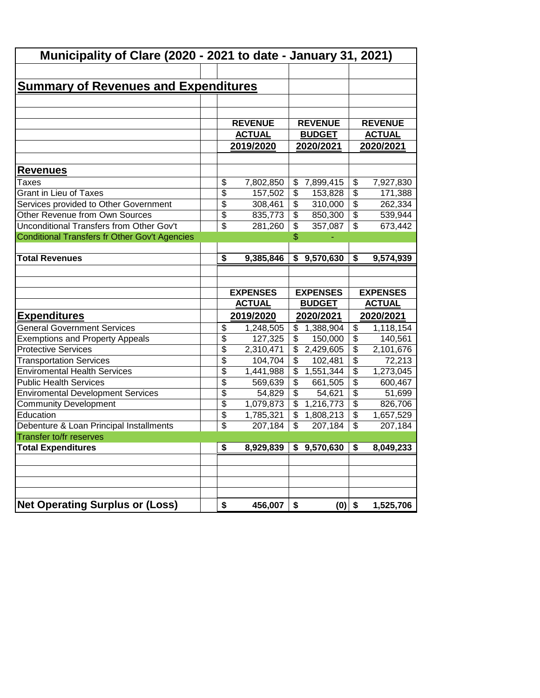| Municipality of Clare (2020 - 2021 to date - January 31, 2021)        |                          |                 |                           |                 |                                        |                 |  |  |  |
|-----------------------------------------------------------------------|--------------------------|-----------------|---------------------------|-----------------|----------------------------------------|-----------------|--|--|--|
|                                                                       |                          |                 |                           |                 |                                        |                 |  |  |  |
| <b>Summary of Revenues and Expenditures</b>                           |                          |                 |                           |                 |                                        |                 |  |  |  |
|                                                                       |                          |                 |                           |                 |                                        |                 |  |  |  |
|                                                                       |                          |                 |                           |                 |                                        |                 |  |  |  |
|                                                                       |                          | <b>REVENUE</b>  |                           | <b>REVENUE</b>  |                                        | <b>REVENUE</b>  |  |  |  |
|                                                                       |                          | <b>ACTUAL</b>   |                           | <b>BUDGET</b>   |                                        | <b>ACTUAL</b>   |  |  |  |
|                                                                       |                          | 2019/2020       |                           | 2020/2021       |                                        | 2020/2021       |  |  |  |
|                                                                       |                          |                 |                           |                 |                                        |                 |  |  |  |
| <u>Revenues</u>                                                       |                          |                 |                           |                 |                                        |                 |  |  |  |
| Taxes                                                                 | \$                       | 7,802,850       |                           | \$7,899,415     | \$                                     | 7,927,830       |  |  |  |
| <b>Grant in Lieu of Taxes</b>                                         | $\overline{\$}$          | 157,502         | \$                        | 153,828         | \$                                     | 171,388         |  |  |  |
| Services provided to Other Government                                 | $\overline{\$}$          | 308,461         | \$                        | 310,000         | $\overline{\$}$                        | 262,334         |  |  |  |
| Other Revenue from Own Sources                                        | $\overline{\$}$          | 835,773         | \$                        | 850,300         | $\overline{\mathcal{L}}$               | 539,944         |  |  |  |
| Unconditional Transfers from Other Gov't                              | $\overline{\mathcal{S}}$ | 281,260         | \$                        | 357,087         | $\overline{\mathcal{S}}$               | 673,442         |  |  |  |
| Conditional Transfers fr Other Gov't Agencies                         |                          |                 | \$                        |                 |                                        |                 |  |  |  |
|                                                                       |                          |                 |                           |                 |                                        |                 |  |  |  |
| <b>Total Revenues</b>                                                 | \$                       | 9,385,846       |                           | \$9,570,630     | $\overline{\boldsymbol{\mathfrak{s}}}$ | 9,574,939       |  |  |  |
|                                                                       |                          |                 |                           |                 |                                        |                 |  |  |  |
|                                                                       |                          |                 |                           |                 |                                        |                 |  |  |  |
|                                                                       |                          |                 |                           |                 |                                        |                 |  |  |  |
|                                                                       |                          | <b>EXPENSES</b> |                           | <b>EXPENSES</b> |                                        | <b>EXPENSES</b> |  |  |  |
|                                                                       |                          | <b>ACTUAL</b>   |                           | <b>BUDGET</b>   |                                        | <b>ACTUAL</b>   |  |  |  |
| <b>Expenditures</b>                                                   |                          | 2019/2020       |                           | 2020/2021       |                                        | 2020/2021       |  |  |  |
| <b>General Government Services</b>                                    | \$                       | 1,248,505       |                           | \$1,388,904     | \$                                     | 1,118,154       |  |  |  |
| <b>Exemptions and Property Appeals</b>                                | $\overline{\$}$          | 127,325         | \$                        | 150,000         | $\overline{\$}$                        | 140,561         |  |  |  |
| <b>Protective Services</b>                                            | $\overline{\$}$          | 2,310,471       | \$                        | 2,429,605       | $\overline{\$}$                        | 2,101,676       |  |  |  |
|                                                                       | $\overline{\$}$          | 104,704         | \$                        | 102,481         | $\overline{\$}$                        | 72,213          |  |  |  |
| <b>Transportation Services</b><br><b>Enviromental Health Services</b> | $\overline{\$}$          | 1,441,988       | \$                        | 1,551,344       | $\overline{\$}$                        | 1,273,045       |  |  |  |
| <b>Public Health Services</b>                                         | $\overline{\$}$          | 569,639         | \$                        | 661,505         | $\overline{\$}$                        | 600,467         |  |  |  |
| <b>Enviromental Development Services</b>                              | $\overline{\$}$          | 54,829          | $\overline{\$}$           | 54,621          | $\overline{\mathcal{E}}$               | 51,699          |  |  |  |
| <b>Community Development</b>                                          | $\overline{\$}$          | 1,079,873       | $\overline{\mathcal{L}}$  | 1,216,773       | $\overline{\mathcal{E}}$               | 826,706         |  |  |  |
| Education                                                             | $\overline{\$}$          | 1,785,321       | $\overline{\mathcal{L}}$  | 1,808,213       | $\overline{\mathcal{L}}$               | 1,657,529       |  |  |  |
| Debenture & Loan Principal Installments                               | \$                       | 207,184         | $\boldsymbol{\mathsf{S}}$ | 207,184         | $\boldsymbol{\mathsf{S}}$              | 207,184         |  |  |  |
| Transfer to/fr reserves                                               |                          |                 |                           |                 |                                        |                 |  |  |  |
| <b>Total Expenditures</b>                                             | \$                       | 8,929,839       |                           | \$9,570,630     | \$                                     | 8,049,233       |  |  |  |
|                                                                       |                          |                 |                           |                 |                                        |                 |  |  |  |
|                                                                       |                          |                 |                           |                 |                                        |                 |  |  |  |
|                                                                       |                          |                 |                           |                 |                                        |                 |  |  |  |
|                                                                       |                          |                 |                           |                 |                                        |                 |  |  |  |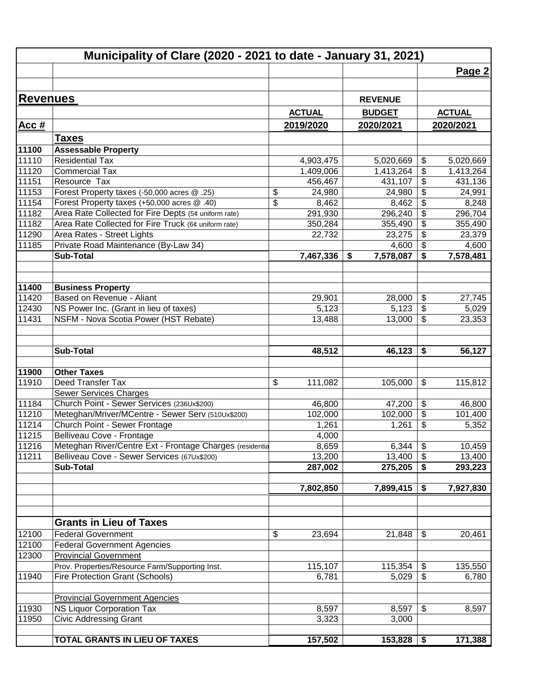|                 | Municipality of Clare (2020 - 2021 to date - January 31, 2021)       |                        |                   |                                                           |                        |
|-----------------|----------------------------------------------------------------------|------------------------|-------------------|-----------------------------------------------------------|------------------------|
|                 |                                                                      |                        |                   |                                                           | Page 2                 |
|                 |                                                                      |                        |                   |                                                           |                        |
| <b>Revenues</b> |                                                                      |                        | <b>REVENUE</b>    |                                                           |                        |
|                 |                                                                      | <b>ACTUAL</b>          | <b>BUDGET</b>     |                                                           | <b>ACTUAL</b>          |
| <u>Acc #</u>    |                                                                      | 2019/2020              | 2020/2021         |                                                           | 2020/2021              |
|                 |                                                                      |                        |                   |                                                           |                        |
| 11100           | <b>Taxes</b><br><b>Assessable Property</b>                           |                        |                   |                                                           |                        |
| 11110           | <b>Residential Tax</b>                                               |                        | 5,020,669         |                                                           |                        |
| 11120           | <b>Commercial Tax</b>                                                | 4,903,475<br>1,409,006 | 1,413,264         | \$<br>$\boldsymbol{\theta}$                               | 5,020,669<br>1,413,264 |
| 11151           | Resource Tax                                                         | 456,467                | 431,107           | $\overline{\boldsymbol{\theta}}$                          | 431,136                |
| 11153           | Forest Property taxes (-50,000 acres @ .25)                          | \$<br>24,980           | 24,980            | $\frac{1}{2}$                                             | 24,991                 |
| 11154           | Forest Property taxes (+50,000 acres @ .40)                          | \$<br>8,462            | 8,462             | $\boldsymbol{\theta}$                                     | 8,248                  |
| 11182           | Area Rate Collected for Fire Depts (5¢ uniform rate)                 | 291,930                | 296,240           | $\overline{\boldsymbol{\theta}}$                          | 296,704                |
| 11182           | Area Rate Collected for Fire Truck (6¢ uniform rate)                 | 350,284                | 355,490           | $\overline{\boldsymbol{\mathsf{s}}}$                      | 355,490                |
| 11290           | Area Rates - Street Lights                                           | 22,732                 | 23,275            | $\boldsymbol{\mathsf{S}}$                                 | 23,379                 |
| 11185           | Private Road Maintenance (By-Law 34)                                 |                        | 4,600             | $\boldsymbol{\mathsf{S}}$                                 | 4,600                  |
|                 | <b>Sub-Total</b>                                                     | 7,467,336              | 7,578,087<br>\$   | \$                                                        | 7,578,481              |
|                 |                                                                      |                        |                   |                                                           |                        |
| 11400           | <b>Business Property</b>                                             |                        |                   |                                                           |                        |
| 11420           | Based on Revenue - Aliant                                            | 29,901                 | 28,000            | \$                                                        | 27,745                 |
| 12430           | NS Power Inc. (Grant in lieu of taxes)                               | 5,123                  | 5,123             | $\boldsymbol{\theta}$                                     | 5,029                  |
| 11431           | NSFM - Nova Scotia Power (HST Rebate)                                | 13,488                 | 13,000            | $\boldsymbol{\mathsf{S}}$                                 | 23,353                 |
|                 |                                                                      |                        |                   |                                                           |                        |
|                 | <b>Sub-Total</b>                                                     | 48,512                 | 46,123            | \$                                                        | 56,127                 |
|                 |                                                                      |                        |                   |                                                           |                        |
| 11900           | <b>Other Taxes</b>                                                   |                        |                   |                                                           |                        |
| 11910           | Deed Transfer Tax                                                    | \$<br>111,082          | 105,000           | \$                                                        | 115,812                |
| 11184           | Sewer Services Charges<br>Church Point - Sewer Services (236Ux\$200) |                        |                   |                                                           |                        |
| 11210           | Meteghan/Mriver/MCentre - Sewer Serv (510Ux\$200)                    | 46,800<br>102,000      | 47,200<br>102,000 | $\boldsymbol{\theta}$<br>$\overline{\boldsymbol{\theta}}$ | 46,800<br>101,400      |
| 11214           | Church Point - Sewer Frontage                                        | 1,261                  | 1,261             | \$                                                        | 5,352                  |
| 11215           | Belliveau Cove - Frontage                                            | 4,000                  |                   |                                                           |                        |
| 11216           | Meteghan River/Centre Ext - Frontage Charges (residentia             | 8,659                  | $6,344$ \$        |                                                           | 10,459                 |
| 11211           | Belliveau Cove - Sewer Services (67Ux\$200)                          | 13,200                 | 13,400            | $\frac{1}{2}$                                             | 13,400                 |
|                 | <b>Sub-Total</b>                                                     | 287,002                | 275,205           | \$                                                        | 293,223                |
|                 |                                                                      |                        |                   |                                                           |                        |
|                 |                                                                      | 7,802,850              | 7,899,415         | \$                                                        | 7,927,830              |
|                 |                                                                      |                        |                   |                                                           |                        |
|                 | <b>Grants in Lieu of Taxes</b>                                       |                        |                   |                                                           |                        |
| 12100           | <b>Federal Government</b>                                            | \$<br>23,694           | 21,848            | \$                                                        | 20,461                 |
| 12100           | <b>Federal Government Agencies</b>                                   |                        |                   |                                                           |                        |
| 12300           | <b>Provincial Government</b>                                         |                        |                   |                                                           |                        |
|                 | Prov. Properties/Resource Farm/Supporting Inst.                      | 115,107                | 115,354           | \$                                                        | 135,550                |
| 11940           | <b>Fire Protection Grant (Schools)</b>                               | 6,781                  | 5,029             | \$                                                        | 6,780                  |
|                 | <b>Provincial Government Agencies</b>                                |                        |                   |                                                           |                        |
| 11930           | <b>NS Liquor Corporation Tax</b>                                     | 8,597                  | 8,597             | \$                                                        | 8,597                  |
| 11950           | <b>Civic Addressing Grant</b>                                        | 3,323                  | 3,000             |                                                           |                        |
|                 |                                                                      |                        |                   |                                                           |                        |
|                 | TOTAL GRANTS IN LIEU OF TAXES                                        | 157,502                | 153,828           | \$                                                        | 171,388                |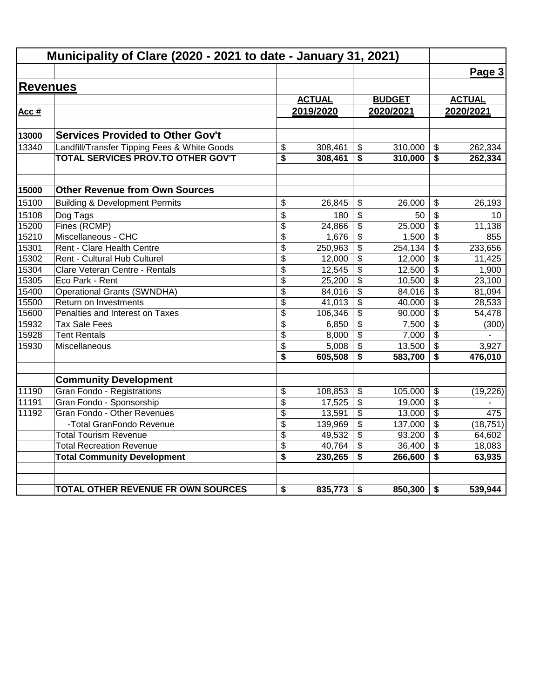|                 | Municipality of Clare (2020 - 2021 to date - January 31, 2021) |                 |               |                         |               |                                      |               |
|-----------------|----------------------------------------------------------------|-----------------|---------------|-------------------------|---------------|--------------------------------------|---------------|
|                 |                                                                |                 |               |                         |               |                                      | Page 3        |
| <b>Revenues</b> |                                                                |                 |               |                         |               |                                      |               |
|                 |                                                                |                 | <b>ACTUAL</b> |                         | <b>BUDGET</b> |                                      | <b>ACTUAL</b> |
| Acc #           |                                                                |                 | 2019/2020     |                         | 2020/2021     |                                      | 2020/2021     |
|                 |                                                                |                 |               |                         |               |                                      |               |
| 13000           | <b>Services Provided to Other Gov't</b>                        |                 |               |                         |               |                                      |               |
| 13340           | Landfill/Transfer Tipping Fees & White Goods                   | \$              | 308,461       | \$                      | 310,000       | \$                                   | 262,334       |
|                 | TOTAL SERVICES PROV.TO OTHER GOV'T                             | \$              | 308,461       | \$                      | 310,000       | \$                                   | 262,334       |
| 15000           | <b>Other Revenue from Own Sources</b>                          |                 |               |                         |               |                                      |               |
| 15100           | <b>Building &amp; Development Permits</b>                      | \$              | 26,845        | \$                      | 26.000        | \$                                   | 26,193        |
| 15108           | Dog Tags                                                       | \$              | 180           | \$                      | 50            | \$                                   | 10            |
| 15200           | Fines (RCMP)                                                   | \$              | 24,866        | \$                      | 25,000        | \$                                   | 11,138        |
| 15210           | Miscellaneous - CHC                                            | $\overline{\$}$ | 1,676         | \$                      | 1,500         | $\overline{\mathbf{S}}$              | 855           |
| 15301           | Rent - Clare Health Centre                                     | \$              | 250,963       | \$                      | 254, 134      | \$                                   | 233,656       |
| 15302           | Rent - Cultural Hub Culturel                                   | \$              | 12,000        | \$                      | 12,000        | \$                                   | 11,425        |
| 15304           | Clare Veteran Centre - Rentals                                 | \$              | 12,545        | $\overline{\mathbf{3}}$ | 12,500        | \$                                   | 1,900         |
| 15305           | Eco Park - Rent                                                | \$              | 25,200        | \$                      | 10,500        | $\overline{\mathcal{S}}$             | 23,100        |
| 15400           | <b>Operational Grants (SWNDHA)</b>                             | \$              | 84,016        | \$                      | 84,016        | \$                                   | 81,094        |
| 15500           | Return on Investments                                          | $\overline{\$}$ | 41,013        | $\overline{\mathbf{3}}$ | 40,000        | $\overline{\boldsymbol{\mathsf{s}}}$ | 28,533        |
| 15600           | Penalties and Interest on Taxes                                | \$              | 106,346       | \$                      | 90,000        | \$                                   | 54,478        |
| 15932           | <b>Tax Sale Fees</b>                                           | \$              | 6,850         | \$                      | 7,500         | $\frac{1}{2}$                        | (300)         |
| 15928           | <b>Tent Rentals</b>                                            | \$              | 8,000         | \$                      | 7,000         | \$                                   |               |
| 15930           | Miscellaneous                                                  | \$              | 5,008         | $\overline{\mathbf{3}}$ | 13,500        | \$                                   | 3,927         |
|                 |                                                                | \$              | 605,508       | \$                      | 583,700       | \$                                   | 476,010       |
|                 | <b>Community Development</b>                                   |                 |               |                         |               |                                      |               |
| 11190           | Gran Fondo - Registrations                                     | \$              | 108,853       | \$                      | 105,000       | \$                                   | (19, 226)     |
| 11191           | Gran Fondo - Sponsorship                                       | \$              | 17,525        | \$                      | 19,000        | $\frac{1}{2}$                        |               |
| 11192           | Gran Fondo - Other Revenues                                    | \$              | 13,591        | \$                      | 13,000        | \$                                   | 475           |
|                 | -Total GranFondo Revenue                                       | \$              | 139,969       | $\overline{\mathbf{e}}$ | 137,000       | \$                                   | (18, 751)     |
|                 | <b>Total Tourism Revenue</b>                                   | \$              | 49,532        | \$                      | 93,200        | \$                                   | 64,602        |
|                 | <b>Total Recreation Revenue</b>                                | \$              | 40,764        | \$                      | 36,400        | $\overline{\mathbf{s}}$              | 18,083        |
|                 | <b>Total Community Development</b>                             | \$              | 230,265       | \$                      | 266,600       | \$                                   | 63,935        |
|                 | TOTAL OTHER REVENUE FR OWN SOURCES                             | \$              | 835,773       | \$                      | 850,300       | \$                                   | 539,944       |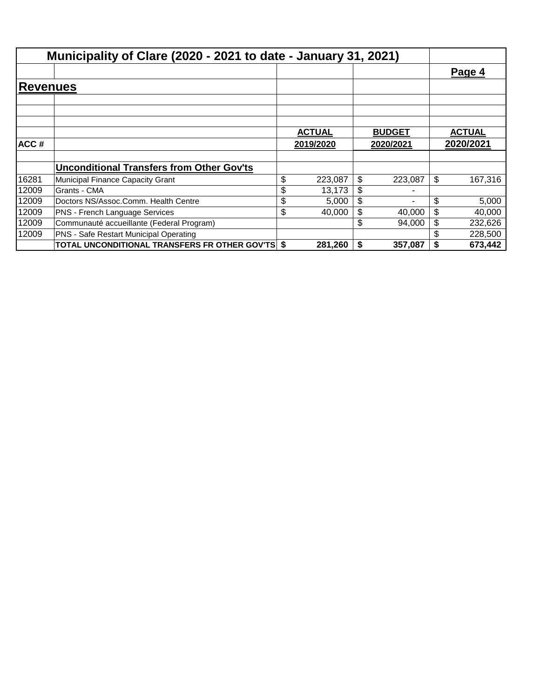|                        | Municipality of Clare (2020 - 2021 to date - January 31, 2021) |               |    |               |               |
|------------------------|----------------------------------------------------------------|---------------|----|---------------|---------------|
|                        |                                                                |               |    |               | Page 4        |
| <b>Revenu<u>es</u></b> |                                                                |               |    |               |               |
|                        |                                                                |               |    |               |               |
|                        |                                                                |               |    |               |               |
|                        |                                                                | <b>ACTUAL</b> |    | <b>BUDGET</b> | <b>ACTUAL</b> |
| ACC#                   |                                                                | 2019/2020     |    | 2020/2021     | 2020/2021     |
|                        |                                                                |               |    |               |               |
|                        | <b>Unconditional Transfers from Other Gov'ts</b>               |               |    |               |               |
| 16281                  | Municipal Finance Capacity Grant                               | \$<br>223,087 | \$ | 223,087       | \$<br>167,316 |
| 12009                  | Grants - CMA                                                   | \$<br>13,173  | \$ |               |               |
| 12009                  | Doctors NS/Assoc.Comm. Health Centre                           | \$<br>5,000   | \$ |               | \$<br>5,000   |
| 12009                  | PNS - French Language Services                                 | \$<br>40,000  | \$ | 40,000        | \$<br>40,000  |
| 12009                  | Communauté accueillante (Federal Program)                      |               | \$ | 94.000        | \$<br>232,626 |
| 12009                  | PNS - Safe Restart Municipal Operating                         |               |    |               | 228,500       |
|                        | TOTAL UNCONDITIONAL TRANSFERS FR OTHER GOV'TS \$               | 281,260       | S  | 357,087       | \$<br>673,442 |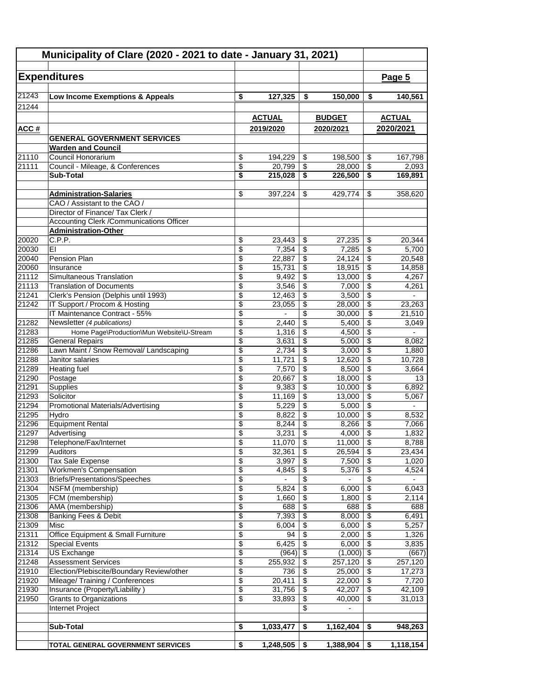| Municipality of Clare (2020 - 2021 to date - January 31, 2021) |                                                                               |                 |                 |                           |                  |                                        |                          |
|----------------------------------------------------------------|-------------------------------------------------------------------------------|-----------------|-----------------|---------------------------|------------------|----------------------------------------|--------------------------|
|                                                                | <b>Expenditures</b>                                                           |                 |                 |                           |                  |                                        | Page 5                   |
|                                                                |                                                                               |                 |                 |                           |                  |                                        |                          |
| 21243                                                          | Low Income Exemptions & Appeals                                               | \$              | 127,325         | \$                        | 150,000          | \$                                     | 140,561                  |
| 21244                                                          |                                                                               |                 |                 |                           |                  |                                        |                          |
|                                                                |                                                                               |                 | <b>ACTUAL</b>   |                           | <b>BUDGET</b>    |                                        | <b>ACTUAL</b>            |
| <u>ACC#</u>                                                    |                                                                               |                 | 2019/2020       |                           | 2020/2021        |                                        | 2020/2021                |
|                                                                | <b>GENERAL GOVERNMENT SERVICES</b>                                            |                 |                 |                           |                  |                                        |                          |
|                                                                | <b>Warden and Council</b>                                                     |                 |                 |                           |                  |                                        |                          |
| 21110                                                          | Council Honorarium                                                            | \$              | 194,229         | \$                        | 198,500          | \$                                     | 167,798                  |
| 21111                                                          | Council - Mileage, & Conferences                                              | \$              | 20,799          | \$                        | 28.000           | \$                                     | 2,093                    |
|                                                                | <b>Sub-Total</b>                                                              | \$              | 215,028         | \$                        | 226,500          | \$                                     | 169,891                  |
|                                                                |                                                                               |                 |                 |                           |                  |                                        |                          |
|                                                                | <b>Administration-Salaries</b>                                                | \$              | 397,224         | \$                        | 429,774          | \$                                     | 358,620                  |
|                                                                | CAO / Assistant to the CAO /                                                  |                 |                 |                           |                  |                                        |                          |
|                                                                | Director of Finance/ Tax Clerk /<br>Accounting Clerk / Communications Officer |                 |                 |                           |                  |                                        |                          |
|                                                                | <b>Administration-Other</b>                                                   |                 |                 |                           |                  |                                        |                          |
| 20020                                                          | C.P.P.                                                                        | \$              | 23,443          | \$                        | 27.235           | \$                                     | 20,344                   |
| 20030                                                          | EI                                                                            | \$              | 7,354           | \$                        | 7,285            | \$                                     | 5,700                    |
| 20040                                                          | Pension Plan                                                                  | \$              | 22,887          | \$                        | 24,124           | \$                                     | 20,548                   |
| 20060                                                          | Insurance                                                                     | \$              | 15,731          | \$                        | 18,915           | $\boldsymbol{\mathsf{S}}$              | 14,858                   |
| 21112                                                          | Simultaneous Translation                                                      | \$              | 9,492           | \$                        | 13,000           | \$                                     | 4,267                    |
| 21113                                                          | <b>Translation of Documents</b>                                               | \$              | 3,546           | \$                        | 7,000            | \$                                     | 4,261                    |
| 21241                                                          | Clerk's Pension (Delphis until 1993)                                          | \$              | 12,463          | \$                        | 3,500            | \$                                     |                          |
| 21242                                                          | IT Support / Procom & Hosting                                                 | \$              | 23,055          | \$                        | 28,000           | \$                                     | 23,263                   |
|                                                                | IT Maintenance Contract - 55%                                                 | \$              |                 | \$                        | 30,000           | \$                                     | 21,510                   |
| 21282                                                          | Newsletter (4 publications)                                                   | \$              | 2,440           | \$                        | 5,400            | \$                                     | 3,049                    |
| 21283                                                          | Home Page\Production\Mun Website\U-Stream                                     | \$              | 1,316           | \$                        | 4,500            | \$                                     | $\overline{\phantom{a}}$ |
| 21285                                                          | <b>General Repairs</b>                                                        | \$              | 3,631           | \$                        | 5,000            | \$                                     | 8,082                    |
| 21286                                                          | Lawn Maint / Snow Removal/ Landscaping                                        | \$              | 2,734           | \$                        | 3,000            | \$                                     | 1,880                    |
| 21288                                                          | Janitor salaries                                                              | \$              | 11,721          | \$                        | 12,620           | \$                                     | 10,728                   |
| 21289                                                          | <b>Heating fuel</b>                                                           | \$              | 7,570           | \$                        | 8,500            | \$                                     | 3,664                    |
| 21290                                                          | Postage                                                                       | \$              | 20,667          | \$                        | 18,000           | \$                                     | 13                       |
| 21291                                                          | Supplies                                                                      | \$              | 9,383           | \$                        | 10,000           | \$                                     | 6,892                    |
| 21293<br>21294                                                 | Solicitor<br><b>Promotional Materials/Advertising</b>                         | \$<br>\$        | 11,169<br>5,229 | \$<br>\$                  | 13,000<br>5,000  | \$<br>$\overline{\boldsymbol{\theta}}$ | 5,067                    |
| 21295                                                          | Hydro                                                                         | \$              | 8,822           | \$                        | 10,000           | \$                                     | 8,532                    |
| 21296                                                          | <b>Equipment Rental</b>                                                       | \$              | 8,244           | \$                        | 8,266            | \$                                     | 7,066                    |
| 21297                                                          | Advertising                                                                   | \$              | 3,231           | $\boldsymbol{\mathsf{S}}$ | 4,000            | $\overline{\boldsymbol{\theta}}$       | 1,832                    |
| 21298                                                          | Telephone/Fax/Internet                                                        | \$              | $11,070$ \$     |                           | 11,000           | $\overline{\mathcal{L}}$               | 8,788                    |
| 21299                                                          | Auditors                                                                      | \$              | 32,361          | \$                        | 26,594           | \$                                     | 23,434                   |
| 21300                                                          | Tax Sale Expense                                                              | \$              | 3,997           | \$                        | 7,500            | \$                                     | 1,020                    |
| 21301                                                          | <b>Workmen's Compensation</b>                                                 | $\overline{\$}$ | 4,845           | $\overline{\$}$           | 5,376            | $\overline{\$}$                        | 4,524                    |
| 21303                                                          | Briefs/Presentations/Speeches                                                 | \$              |                 | \$                        |                  | $\overline{\$}$                        |                          |
| 21304                                                          | NSFM (membership)                                                             | \$              | 5,824           | \$                        | 6,000            | $\sqrt[6]{3}$                          | 6,043                    |
| 21305                                                          | FCM (membership)                                                              | \$              | 1,660           | \$                        | 1,800            | \$                                     | 2,114                    |
| 21306                                                          | AMA (membership)                                                              | \$              | 688             | \$                        | 688              | \$                                     | 688                      |
| 21308                                                          | Banking Fees & Debit                                                          | \$              | 7,393           | \$                        | 8,000            | \$                                     | 6,491                    |
| 21309                                                          | Misc<br>Office Equipment & Small Furniture                                    | \$              | 6,004           | \$                        | 6,000            | \$                                     | 5,257                    |
| 21311                                                          |                                                                               | \$<br>\$        | 94              | \$                        | 2,000            | \$<br>$\overline{\$}$                  | 1,326                    |
| 21312<br>21314                                                 | <b>Special Events</b><br><b>US Exchange</b>                                   | \$              | 6,425<br>(964)  | \$<br>\$                  | 6,000<br>(1,000) | $\sqrt[6]{\frac{1}{2}}$                | 3,835<br>(667)           |
| 21248                                                          | <b>Assessment Services</b>                                                    | \$              | 255,932         | \$                        | 257,120          | \$                                     | 257,120                  |
| 21910                                                          | Election/Plebiscite/Boundary Review/other                                     | \$              | 736             | \$                        | 25,000           | \$                                     | 17,273                   |
| 21920                                                          | Mileage/ Training / Conferences                                               | \$              | 20,411          | \$                        | 22,000           | $\overline{\mathbf{S}}$                | 7,720                    |
| 21930                                                          | Insurance (Property/Liability)                                                | \$              | 31,756          | \$                        | 42,207           | $\overline{\$}$                        | 42,109                   |
| 21950                                                          | Grants to Organizations                                                       | \$              | 33,893          | \$                        | 40,000           | \$                                     | 31,013                   |
|                                                                | Internet Project                                                              |                 |                 | \$                        | $\overline{a}$   |                                        |                          |
|                                                                |                                                                               |                 |                 |                           |                  |                                        |                          |
|                                                                | <b>Sub-Total</b>                                                              | \$              | 1,033,477       | \$                        | 1,162,404        | \$                                     | 948,263                  |
|                                                                |                                                                               |                 |                 |                           |                  |                                        |                          |
|                                                                | TOTAL GENERAL GOVERNMENT SERVICES                                             | \$              | 1,248,505       | \$                        | 1,388,904        | \$                                     | 1,118,154                |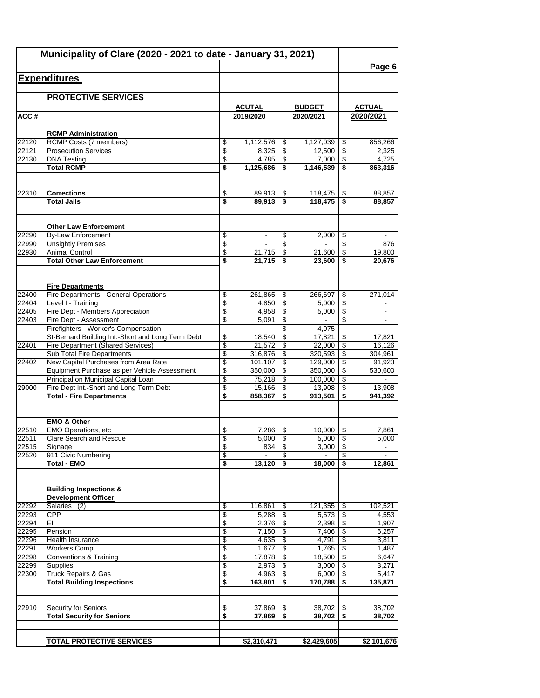|                | Municipality of Clare (2020 - 2021 to date - January 31, 2021)   |          |                            |          |                            |                          |                            |
|----------------|------------------------------------------------------------------|----------|----------------------------|----------|----------------------------|--------------------------|----------------------------|
|                |                                                                  |          |                            |          |                            |                          | Page 6                     |
|                | <b>Expenditures</b>                                              |          |                            |          |                            |                          |                            |
|                |                                                                  |          |                            |          |                            |                          |                            |
|                | <b>PROTECTIVE SERVICES</b>                                       |          |                            |          |                            |                          |                            |
| ACC#           |                                                                  |          | <b>ACUTAL</b><br>2019/2020 |          | <b>BUDGET</b><br>2020/2021 |                          | <b>ACTUAL</b><br>2020/2021 |
|                |                                                                  |          |                            |          |                            |                          |                            |
|                | <b>RCMP Administration</b>                                       |          |                            |          |                            |                          |                            |
| 22120          | RCMP Costs (7 members)                                           | \$       | 1,112,576                  | \$       | 1,127,039                  | \$                       | 856,266                    |
| 22121          | <b>Prosecution Services</b>                                      | \$       | 8,325                      | \$       | 12,500                     | \$                       | 2,325                      |
| 22130          | <b>DNA Testing</b>                                               | \$       | 4,785                      | \$       | 7,000                      | \$                       | 4,725                      |
|                | <b>Total RCMP</b>                                                | \$       | 1,125,686                  | \$       | 1,146,539                  | \$                       | 863,316                    |
| 22310          | <b>Corrections</b>                                               | \$       | 89,913                     | \$       | 118,475                    | \$                       | 88,857                     |
|                | <b>Total Jails</b>                                               | \$       | 89,913                     | \$       | 118,475                    | \$                       | 88,857                     |
|                |                                                                  |          |                            |          |                            |                          |                            |
|                | <b>Other Law Enforcement</b>                                     |          |                            |          |                            |                          |                            |
| 22290          | <b>By-Law Enforcement</b>                                        | \$       | ۰                          | \$       | 2,000                      | \$                       |                            |
| 22990          | <b>Unsightly Premises</b>                                        | \$       | $\blacksquare$             | \$       | $\sim$                     | \$                       | 876                        |
| 22930          | <b>Animal Control</b>                                            | \$       | 21,715                     | \$       | 21,600                     | \$                       | 19,800                     |
|                | <b>Total Other Law Enforcement</b>                               | \$       | 21,715                     | \$       | 23,600                     | \$                       | 20.676                     |
|                |                                                                  |          |                            |          |                            |                          |                            |
| 22400          | <b>Fire Departments</b><br>Fire Departments - General Operations | \$       | 261,865                    | \$       | 266,697                    | \$                       | 271,014                    |
| 22404          | Level I - Training                                               | \$       | 4,850                      | \$       | 5.000                      | \$                       |                            |
| 22405          | Fire Dept - Members Appreciation                                 | \$       | 4,958                      | \$       | 5,000                      | \$                       |                            |
| 22403          | Fire Dept - Assessment                                           | \$       | 5,091                      | \$       |                            | \$                       | $\overline{\phantom{a}}$   |
|                | Firefighters - Worker's Compensation                             |          |                            | \$       | 4,075                      |                          |                            |
|                | St-Bernard Building Int.-Short and Long Term Debt                | \$       | 18,540                     | \$       | 17,821                     | \$                       | 17,821                     |
| 22401          | Fire Department (Shared Services)<br>Sub Total Fire Departments  | \$<br>\$ | 21,572<br>316,876          | \$<br>\$ | 22,000<br>320,593          | \$<br>\$                 | 16,126<br>304,961          |
| 22402          | New Capital Purchases from Area Rate                             | \$       | 101,107                    | \$       | 129,000                    | \$                       | 91,923                     |
|                | Equipment Purchase as per Vehicle Assessment                     | \$       | 350,000                    | \$       | 350,000                    | \$                       | 530,600                    |
|                | Principal on Municipal Capital Loan                              | \$       | 75,218                     | \$       | 100,000                    | \$                       |                            |
| 29000          | Fire Dept Int.-Short and Long Term Debt                          | \$       | 15,166                     | \$       | 13,908                     | $\overline{\mathcal{S}}$ | 13,908                     |
|                | <b>Total - Fire Departments</b>                                  | \$       | 858,367                    | \$       | 913,501                    | \$                       | 941,392                    |
|                |                                                                  |          |                            |          |                            |                          |                            |
| 22510          | <b>EMO &amp; Other</b>                                           |          |                            |          |                            |                          |                            |
| 22511          | EMO Operations, etc<br><b>Clare Search and Rescue</b>            | \$<br>\$ | 7,286<br>5,000             | \$<br>\$ | 10.000<br>5,000            | \$<br>\$                 | 7.861<br>5,000             |
| 22515          | Signage                                                          | \$       | 834                        | \$       | 3,000                      | \$                       | $\overline{\phantom{a}}$   |
| 22520          | 911 Civic Numbering                                              | \$       | $\overline{a}$             | \$       |                            | \$                       |                            |
|                | <b>Total - EMO</b>                                               | \$       | 13,120                     | \$       | 18,000                     | \$                       | 12,861                     |
|                |                                                                  |          |                            |          |                            |                          |                            |
|                | <b>Building Inspections &amp;</b>                                |          |                            |          |                            |                          |                            |
| 22292          | <b>Development Officer</b><br>Salaries (2)                       | \$       | 116,861                    | \$       | 121,355                    | \$                       | 102,521                    |
| 22293          | <b>CPP</b>                                                       | \$       | 5,288                      | \$       | 5,573                      | \$                       | 4,553                      |
| 22294          | EI                                                               | \$       | 2,376                      | \$       | 2,398                      | \$                       | 1,907                      |
| 22295          | Pension                                                          | \$       | 7,150                      | \$       | 7,406                      | \$                       | 6,257                      |
| 22296          | Health Insurance                                                 | \$       | 4,635                      | \$       | 4,791                      | \$                       | 3,811                      |
| 22291          | <b>Workers Comp</b>                                              | \$       | 1,677                      | \$       | 1,765                      | \$                       | 1,487                      |
| 22298          | <b>Conventions &amp; Training</b>                                | \$       | 17,878                     | \$       | 18,500                     | \$                       | 6,647                      |
| 22299<br>22300 | <b>Supplies</b><br><b>Truck Repairs &amp; Gas</b>                | \$<br>\$ | 2,973<br>4,963             | \$<br>\$ | 3,000<br>6,000             | \$<br>\$                 | 3,271<br>5,417             |
|                | <b>Total Building Inspections</b>                                | \$       | 163,801                    | \$       | 170,788                    | \$                       | 135,871                    |
|                |                                                                  |          |                            |          |                            |                          |                            |
| 22910          | Security for Seniors                                             | \$       | 37,869                     | \$       | 38,702                     | \$                       | 38,702                     |
|                | <b>Total Security for Seniors</b>                                | \$       | 37,869                     | \$       | 38,702                     | \$                       | 38,702                     |
|                |                                                                  |          |                            |          |                            |                          |                            |
|                | <b>TOTAL PROTECTIVE SERVICES</b>                                 |          | \$2,310,471                |          | \$2,429,605                |                          | \$2,101,676                |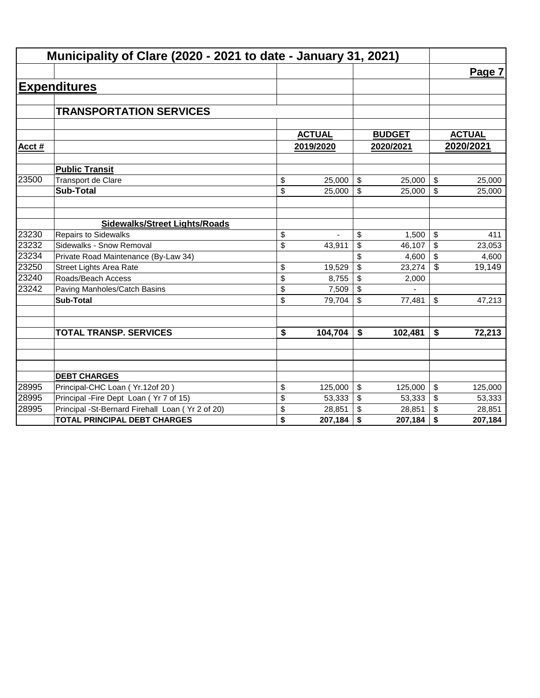|        | Municipality of Clare (2020 - 2021 to date - January 31, 2021) |               |                |               |               |
|--------|----------------------------------------------------------------|---------------|----------------|---------------|---------------|
|        |                                                                |               |                |               | Page 7        |
|        | <b>Expenditures</b>                                            |               |                |               |               |
|        |                                                                |               |                |               |               |
|        | <b>TRANSPORTATION SERVICES</b>                                 |               |                |               |               |
|        |                                                                |               |                |               |               |
|        |                                                                | <b>ACTUAL</b> |                | <b>BUDGET</b> | <b>ACTUAL</b> |
| Acct # |                                                                | 2019/2020     |                | 2020/2021     | 2020/2021     |
|        | <b>Public Transit</b>                                          |               |                |               |               |
| 23500  | Transport de Clare                                             | \$<br>25,000  | \$             | 25,000        | \$<br>25,000  |
|        | <b>Sub-Total</b>                                               | \$<br>25,000  | $\mathfrak{S}$ | 25,000        | \$<br>25,000  |
|        |                                                                |               |                |               |               |
|        | <b>Sidewalks/Street Lights/Roads</b>                           |               |                |               |               |
| 23230  | <b>Repairs to Sidewalks</b>                                    | \$            | \$             | 1,500         | \$<br>411     |
| 23232  | Sidewalks - Snow Removal                                       | \$<br>43,911  | \$             | 46,107        | \$<br>23,053  |
| 23234  | Private Road Maintenance (By-Law 34)                           |               | \$             | 4,600         | \$<br>4,600   |
| 23250  | <b>Street Lights Area Rate</b>                                 | \$<br>19,529  | \$             | 23,274        | \$<br>19,149  |
| 23240  | Roads/Beach Access                                             | \$<br>8,755   | \$             | 2,000         |               |
| 23242  | Paving Manholes/Catch Basins                                   | \$<br>7,509   | \$             |               |               |
|        | <b>Sub-Total</b>                                               | \$<br>79,704  | \$             | 77,481        | \$<br>47,213  |
|        |                                                                |               |                |               |               |
|        | <b>TOTAL TRANSP. SERVICES</b>                                  | \$<br>104,704 | \$             | 102,481       | \$<br>72,213  |
|        |                                                                |               |                |               |               |
|        |                                                                |               |                |               |               |
|        | <b>DEBT CHARGES</b>                                            |               |                |               |               |
| 28995  | Principal-CHC Loan (Yr.12of 20)                                | \$<br>125,000 | \$             | 125,000       | \$<br>125,000 |
| 28995  | Principal - Fire Dept Loan (Yr 7 of 15)                        | \$<br>53,333  | \$             | 53,333        | \$<br>53,333  |
| 28995  | Principal -St-Bernard Firehall Loan (Yr 2 of 20)               | \$<br>28,851  | \$             | 28,851        | \$<br>28,851  |
|        | <b>TOTAL PRINCIPAL DEBT CHARGES</b>                            | \$<br>207,184 | \$             | 207,184       | \$<br>207,184 |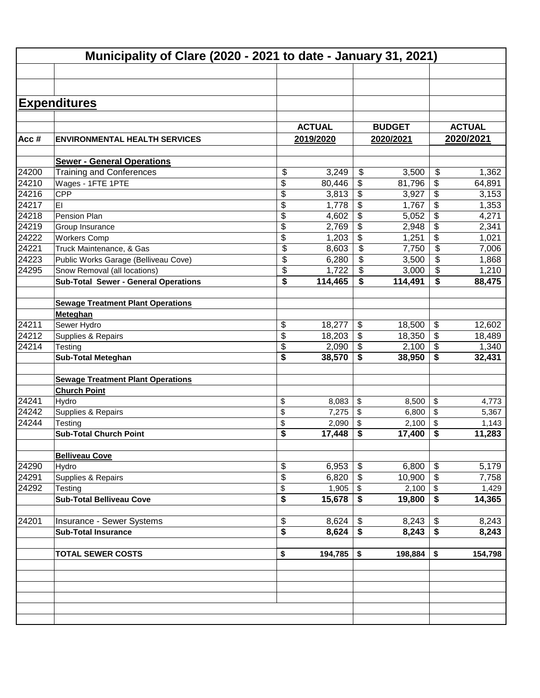|         | Municipality of Clare (2020 - 2021 to date - January 31, 2021) |               |                                      |               |                            |               |
|---------|----------------------------------------------------------------|---------------|--------------------------------------|---------------|----------------------------|---------------|
|         |                                                                |               |                                      |               |                            |               |
|         | <b>Expenditures</b>                                            |               |                                      |               |                            |               |
|         |                                                                |               |                                      |               |                            |               |
|         |                                                                | <b>ACTUAL</b> |                                      | <b>BUDGET</b> |                            | <b>ACTUAL</b> |
| Acc $#$ | <b>ENVIRONMENTAL HEALTH SERVICES</b>                           | 2019/2020     |                                      | 2020/2021     |                            | 2020/2021     |
|         |                                                                |               |                                      |               |                            |               |
|         | <b>Sewer - General Operations</b>                              |               |                                      |               |                            |               |
| 24200   | <b>Training and Conferences</b>                                | \$<br>3,249   | \$                                   | 3,500         | \$                         | 1,362         |
| 24210   | Wages - 1FTE 1PTE                                              | \$<br>80,446  | \$                                   | 81,796        | \$                         | 64,891        |
| 24216   | <b>CPP</b>                                                     | \$<br>3,813   | \$                                   | 3,927         | \$                         | 3,153         |
| 24217   | EI                                                             | \$<br>1,778   | \$                                   | 1,767         | \$                         | 1,353         |
| 24218   | Pension Plan                                                   | \$<br>4,602   | \$                                   | 5,052         | \$                         | 4,271         |
| 24219   | Group Insurance                                                | \$<br>2,769   | \$                                   | 2,948         | \$                         | 2,341         |
| 24222   | <b>Workers Comp</b>                                            | \$<br>1,203   | \$                                   | 1,251         | \$                         | 1,021         |
| 24221   | Truck Maintenance, & Gas                                       | \$<br>8,603   | \$                                   | 7,750         | \$                         | 7,006         |
| 24223   | Public Works Garage (Belliveau Cove)                           | \$<br>6,280   | \$                                   | 3,500         | \$                         | 1,868         |
| 24295   | Snow Removal (all locations)                                   | \$<br>1,722   | \$                                   | 3,000         | \$                         | 1,210         |
|         | <b>Sub-Total Sewer - General Operations</b>                    | \$<br>114,465 | \$                                   | 114,491       | S                          | 88,475        |
|         |                                                                |               |                                      |               |                            |               |
|         | <b>Sewage Treatment Plant Operations</b>                       |               |                                      |               |                            |               |
|         | Meteghan                                                       |               |                                      |               |                            |               |
| 24211   | Sewer Hydro                                                    | \$<br>18,277  | \$                                   | 18,500        | $\boldsymbol{\mathsf{\$}}$ | 12,602        |
| 24212   | Supplies & Repairs                                             | \$<br>18,203  | \$                                   | 18,350        | \$                         | 18,489        |
| 24214   | Testing                                                        | \$<br>2,090   | \$                                   | 2,100         | $\sqrt[6]{\frac{1}{2}}$    | 1,340         |
|         | <b>Sub-Total Meteghan</b>                                      | \$<br>38,570  | \$                                   | 38,950        | \$                         | 32,431        |
|         |                                                                |               |                                      |               |                            |               |
|         | <b>Sewage Treatment Plant Operations</b>                       |               |                                      |               |                            |               |
|         | <b>Church Point</b>                                            |               |                                      |               |                            |               |
| 24241   | Hydro                                                          | \$<br>8,083   | \$                                   | 8,500         | $\sqrt[6]{\frac{1}{2}}$    | 4,773         |
| 24242   | Supplies & Repairs                                             | \$<br>7,275   | \$                                   | 6,800         | \$                         | 5,367         |
| 24244   | Testing                                                        | \$<br>2,090   | \$                                   | 2,100         | \$                         | 1,143         |
|         | <b>Sub-Total Church Point</b>                                  | \$<br>17,448  | \$                                   | 17,400        | \$                         | 11,283        |
|         |                                                                |               |                                      |               |                            |               |
|         | <b>Belliveau Cove</b>                                          |               |                                      |               |                            |               |
| 24290   | Hydro                                                          | \$<br>6,953   | \$                                   | 6,800         | \$                         | 5,179         |
| 24291   | Supplies & Repairs                                             | \$<br>6,820   | \$                                   | 10,900        | $\sqrt[6]{3}$              | 7,758         |
| 24292   | Testing                                                        | \$<br>1,905   | \$                                   |               |                            | 1,429         |
|         | <b>Sub-Total Belliveau Cove</b>                                | \$<br>15,678  | $\overline{\boldsymbol{\mathsf{s}}}$ | 19,800        | $\overline{\bullet}$       | 14,365        |
|         |                                                                |               |                                      |               |                            |               |
| 24201   | Insurance - Sewer Systems                                      | \$<br>8,624   | \$                                   | 8,243         | $\sqrt[6]{\frac{1}{2}}$    | 8,243         |
|         | <b>Sub-Total Insurance</b>                                     | \$<br>8,624   | $\overline{\boldsymbol{\mathsf{s}}}$ | 8,243         | $\overline{\bullet}$       | 8,243         |
|         |                                                                |               |                                      |               |                            |               |
|         | <b>TOTAL SEWER COSTS</b>                                       | \$<br>194,785 | \$                                   | 198,884       | \$                         | 154,798       |
|         |                                                                |               |                                      |               |                            |               |
|         |                                                                |               |                                      |               |                            |               |
|         |                                                                |               |                                      |               |                            |               |
|         |                                                                |               |                                      |               |                            |               |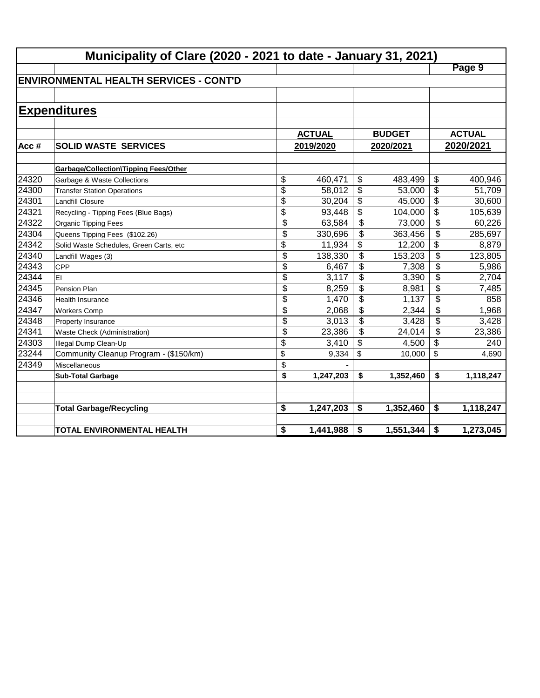|       | Municipality of Clare (2020 - 2021 to date - January 31, 2021) |                           |               |                           |               |                 |               |  |  |  |
|-------|----------------------------------------------------------------|---------------------------|---------------|---------------------------|---------------|-----------------|---------------|--|--|--|
|       |                                                                |                           |               |                           |               |                 | Page 9        |  |  |  |
|       | <b>ENVIRONMENTAL HEALTH SERVICES - CONT'D</b>                  |                           |               |                           |               |                 |               |  |  |  |
|       |                                                                |                           |               |                           |               |                 |               |  |  |  |
|       | <b>Expenditures</b>                                            |                           |               |                           |               |                 |               |  |  |  |
|       |                                                                |                           |               |                           |               |                 |               |  |  |  |
|       |                                                                |                           | <b>ACTUAL</b> |                           | <b>BUDGET</b> |                 | <b>ACTUAL</b> |  |  |  |
| Acc#  | <b>SOLID WASTE SERVICES</b>                                    |                           | 2019/2020     |                           | 2020/2021     |                 | 2020/2021     |  |  |  |
|       |                                                                |                           |               |                           |               |                 |               |  |  |  |
|       | <b>Garbage/Collection\Tipping Fees/Other</b>                   |                           |               |                           |               |                 |               |  |  |  |
| 24320 | Garbage & Waste Collections                                    | \$                        | 460,471       | $\boldsymbol{\mathsf{S}}$ | 483,499       | \$              | 400,946       |  |  |  |
| 24300 | <b>Transfer Station Operations</b>                             | $\overline{\$}$           | 58,012        | \$                        | 53,000        | \$              | 51,709        |  |  |  |
| 24301 | <b>Landfill Closure</b>                                        | $\overline{\$}$           | 30,204        | \$                        | 45,000        | $\overline{\$}$ | 30,600        |  |  |  |
| 24321 | Recycling - Tipping Fees (Blue Bags)                           | $\overline{\$}$           | 93,448        | \$                        | 104,000       | \$              | 105,639       |  |  |  |
| 24322 | Organic Tipping Fees                                           | \$                        | 63,584        | \$                        | 73,000        | \$              | 60,226        |  |  |  |
| 24304 | Queens Tipping Fees (\$102.26)                                 | $\overline{\$}$           | 330,696       | $\overline{\mathcal{L}}$  | 363,456       | \$              | 285,697       |  |  |  |
| 24342 | Solid Waste Schedules, Green Carts, etc                        | \$                        | 11,934        | \$                        | 12,200        | \$              | 8,879         |  |  |  |
| 24340 | Landfill Wages (3)                                             | $\overline{\mathfrak{s}}$ | 138,330       | \$                        | 153,203       | \$              | 123,805       |  |  |  |
| 24343 | <b>CPP</b>                                                     | \$                        | 6,467         | \$                        | 7,308         | \$              | 5,986         |  |  |  |
| 24344 | EI                                                             | \$                        | 3,117         | \$                        | 3,390         | \$              | 2,704         |  |  |  |
| 24345 | Pension Plan                                                   | \$                        | 8,259         | \$                        | 8,981         | \$              | 7,485         |  |  |  |
| 24346 | <b>Health Insurance</b>                                        | $\overline{\$}$           | 1,470         | \$                        | 1,137         | \$              | 858           |  |  |  |
| 24347 | <b>Workers Comp</b>                                            | \$                        | 2,068         | \$                        | 2,344         | \$              | 1,968         |  |  |  |
| 24348 | Property Insurance                                             | \$                        | 3,013         | \$                        | 3,428         | \$              | 3,428         |  |  |  |
| 24341 | Waste Check (Administration)                                   | \$                        | 23,386        | \$                        | 24,014        | \$              | 23,386        |  |  |  |
| 24303 | Illegal Dump Clean-Up                                          | \$                        | 3,410         | \$                        | 4,500         | \$              | 240           |  |  |  |
| 23244 | Community Cleanup Program - (\$150/km)                         | \$                        | 9,334         | \$                        | 10,000        | \$              | 4,690         |  |  |  |
| 24349 | <b>Miscellaneous</b>                                           | \$                        |               |                           |               |                 |               |  |  |  |
|       | <b>Sub-Total Garbage</b>                                       | \$                        | 1,247,203     | \$                        | 1,352,460     | \$              | 1,118,247     |  |  |  |
|       |                                                                |                           |               |                           |               |                 |               |  |  |  |
|       |                                                                |                           |               |                           |               |                 |               |  |  |  |
|       | <b>Total Garbage/Recycling</b>                                 | \$                        | 1,247,203     | \$                        | 1,352,460     | \$              | 1,118,247     |  |  |  |
|       | <b>TOTAL ENVIRONMENTAL HEALTH</b>                              | \$                        | 1,441,988     | \$                        | 1,551,344     | \$              | 1,273,045     |  |  |  |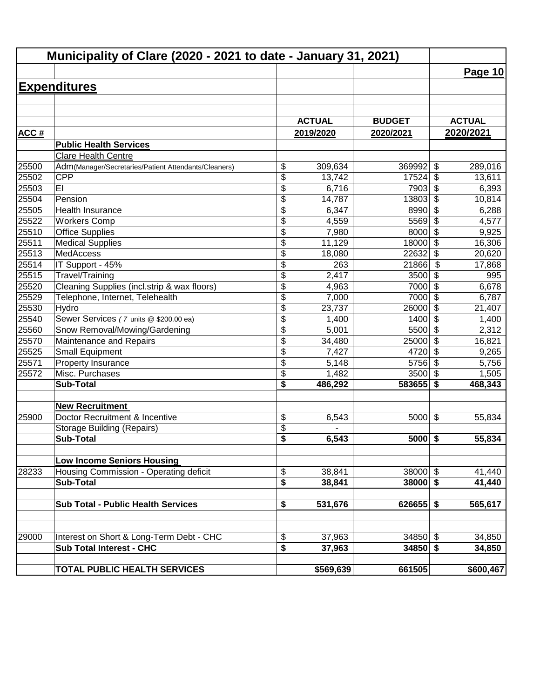| Municipality of Clare (2020 - 2021 to date - January 31, 2021) |                                                                             |                         |               |               |                                  |               |
|----------------------------------------------------------------|-----------------------------------------------------------------------------|-------------------------|---------------|---------------|----------------------------------|---------------|
|                                                                |                                                                             |                         |               |               |                                  | Page 10       |
|                                                                | <b>Expenditures</b>                                                         |                         |               |               |                                  |               |
|                                                                |                                                                             |                         |               |               |                                  |               |
|                                                                |                                                                             |                         |               |               |                                  |               |
|                                                                |                                                                             |                         | <b>ACTUAL</b> | <b>BUDGET</b> |                                  | <b>ACTUAL</b> |
| <b>ACC#</b>                                                    |                                                                             |                         | 2019/2020     | 2020/2021     |                                  | 2020/2021     |
|                                                                | <b>Public Health Services</b>                                               |                         |               |               |                                  |               |
|                                                                | <b>Clare Health Centre</b>                                                  |                         |               |               |                                  |               |
| 25500                                                          | Adm(Manager/Secretaries/Patient Attendants/Cleaners)                        | \$                      | 309,634       | 369992        | \$                               | 289,016       |
| 25502                                                          | <b>CPP</b>                                                                  | \$                      | 13,742        | 17524         | \$                               | 13,611        |
| 25503                                                          | EI                                                                          | \$                      | 6,716         | 7903          | \$                               | 6,393         |
| 25504                                                          | Pension                                                                     | \$                      | 14,787        | 13803         | $\overline{\boldsymbol{\theta}}$ | 10,814        |
| 25505                                                          | <b>Health Insurance</b>                                                     | \$                      | 6,347         | 8990          | $\overline{\$}$                  | 6,288         |
| 25522                                                          | <b>Workers Comp</b>                                                         | \$                      | 4,559         | 5569          | $\overline{\$}$                  | 4,577         |
| 25510                                                          | <b>Office Supplies</b>                                                      | $\overline{\$}$         | 7,980         | 8000          | $\overline{\mathcal{S}}$         | 9,925         |
| 25511                                                          | <b>Medical Supplies</b>                                                     | \$                      | 11,129        | 18000         | $\overline{\mathcal{S}}$         | 16,306        |
| 25513                                                          | <b>MedAccess</b>                                                            | \$                      | 18,080        | 22632         | \$                               | 20,620        |
| 25514                                                          | IT Support - 45%                                                            | \$                      | 263           | 21866         | \$                               | 17,868        |
| 25515                                                          | Travel/Training                                                             | $\overline{\$}$         | 2,417         | 3500          | \$                               | 995           |
| 25520                                                          | Cleaning Supplies (incl.strip & wax floors)                                 | \$                      | 4,963         | 7000          | $\boldsymbol{\mathsf{S}}$        | 6,678         |
| 25529                                                          | Telephone, Internet, Telehealth                                             | \$                      | 7,000         | 7000          | \$                               | 6,787         |
| 25530                                                          | Hydro                                                                       | $\overline{\$}$         | 23,737        | 26000         | $\overline{\mathcal{S}}$         | 21,407        |
| 25540                                                          | Sewer Services (7 units @ \$200.00 ea)                                      | \$                      | 1,400         | 1400          | $\overline{\mathcal{S}}$         | 1,400         |
| 25560                                                          | Snow Removal/Mowing/Gardening                                               | \$                      | 5,001         | 5500          | $\overline{\mathcal{L}}$         | 2,312         |
| 25570                                                          | Maintenance and Repairs                                                     | \$                      | 34,480        | 25000         | \$                               | 16,821        |
| 25525                                                          | <b>Small Equipment</b>                                                      | \$                      | 7,427         | 4720          | \$                               | 9,265         |
| 25571                                                          | Property Insurance                                                          | \$                      | 5,148         | 5756          | $\sqrt{2}$                       | 5,756         |
| 25572                                                          | Misc. Purchases                                                             | \$                      | 1,482         | 3500          | $\overline{\mathbf{s}}$          | 1,505         |
|                                                                | <b>Sub-Total</b>                                                            | \$                      | 486,292       | 583655        | \$                               | 468,343       |
|                                                                | <b>New Recruitment</b>                                                      |                         |               |               |                                  |               |
| 25900                                                          | Doctor Recruitment & Incentive                                              | \$                      | 6,543         | 5000          | $\boldsymbol{\mathsf{S}}$        | 55,834        |
|                                                                | <b>Storage Building (Repairs)</b>                                           | $\frac{1}{2}$           |               |               |                                  |               |
|                                                                | <b>Sub-Total</b>                                                            | $\overline{\mathbf{s}}$ | 6,543         | $5000$ \$     |                                  | 55,834        |
|                                                                |                                                                             |                         |               |               |                                  |               |
| 28233                                                          | <b>Low Income Seniors Housing</b><br>Housing Commission - Operating deficit |                         | 38,841        | $38000$ \$    |                                  | 41,440        |
|                                                                | <b>Sub-Total</b>                                                            | \$<br>\$                | 38,841        | $38000$ \$    |                                  | 41,440        |
|                                                                |                                                                             |                         |               |               |                                  |               |
|                                                                | <b>Sub Total - Public Health Services</b>                                   | \$                      | 531,676       | $626655$ \$   |                                  | 565,617       |
|                                                                |                                                                             |                         |               |               |                                  |               |
| 29000                                                          | Interest on Short & Long-Term Debt - CHC                                    | \$                      | 37,963        | $34850$ \$    |                                  | 34,850        |
|                                                                | <b>Sub Total Interest - CHC</b>                                             | \$                      | 37,963        | $34850$ \$    |                                  | 34,850        |
|                                                                |                                                                             |                         |               |               |                                  |               |
|                                                                | TOTAL PUBLIC HEALTH SERVICES                                                |                         | \$569,639     | 661505        |                                  | \$600,467     |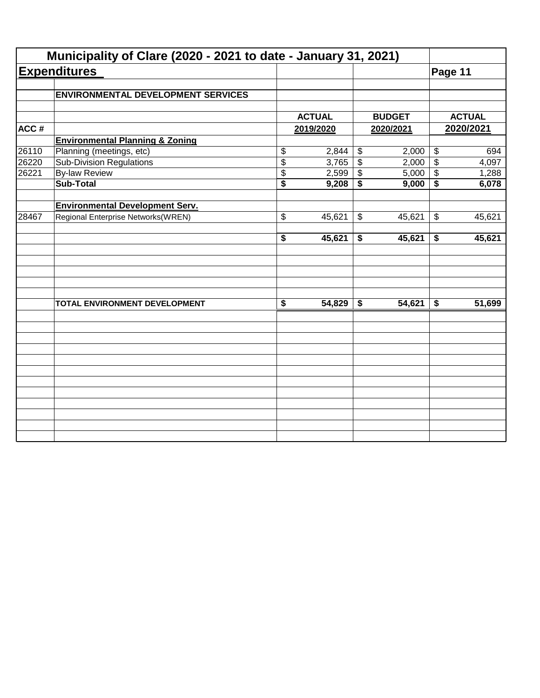|       | Municipality of Clare (2020 - 2021 to date - January 31, 2021) |                                      |               |                            |               |                            |               |
|-------|----------------------------------------------------------------|--------------------------------------|---------------|----------------------------|---------------|----------------------------|---------------|
|       | <b>Expenditures</b>                                            |                                      |               |                            |               | Page 11                    |               |
|       | <b>ENVIRONMENTAL DEVELOPMENT SERVICES</b>                      |                                      |               |                            |               |                            |               |
|       |                                                                |                                      | <b>ACTUAL</b> |                            | <b>BUDGET</b> |                            | <b>ACTUAL</b> |
| ACC#  |                                                                |                                      | 2019/2020     |                            | 2020/2021     |                            | 2020/2021     |
|       | <b>Environmental Planning &amp; Zoning</b>                     |                                      |               |                            |               |                            |               |
| 26110 | Planning (meetings, etc)                                       | \$                                   | 2,844         | $\boldsymbol{\mathsf{\$}}$ | 2,000         | $\boldsymbol{\mathsf{\$}}$ | 694           |
| 26220 | <b>Sub-Division Regulations</b>                                | $\overline{\$}$                      | 3,765         | $\overline{\mathcal{L}}$   | 2,000         | $\overline{\mathcal{S}}$   | 4,097         |
| 26221 | <b>By-law Review</b>                                           | \$                                   | 2,599         | \$                         | 5,000         | $\boldsymbol{\mathsf{\$}}$ | 1,288         |
|       | <b>Sub-Total</b>                                               | $\overline{\$}$                      | 9,208         | \$                         | 9,000         | \$                         | 6,078         |
|       | <b>Environmental Development Serv.</b>                         |                                      |               |                            |               |                            |               |
| 28467 | Regional Enterprise Networks(WREN)                             | \$                                   | 45,621        | \$                         | 45,621        | $\boldsymbol{\mathsf{\$}}$ | 45,621        |
|       |                                                                | $\overline{\boldsymbol{s}}$          | 45,621        | \$                         | 45,621        | \$                         | 45,621        |
|       |                                                                |                                      |               |                            |               |                            |               |
|       | TOTAL ENVIRONMENT DEVELOPMENT                                  | $\overline{\boldsymbol{\mathsf{s}}}$ | 54,829        | \$                         | 54,621        | \$                         | 51,699        |
|       |                                                                |                                      |               |                            |               |                            |               |
|       |                                                                |                                      |               |                            |               |                            |               |
|       |                                                                |                                      |               |                            |               |                            |               |
|       |                                                                |                                      |               |                            |               |                            |               |
|       |                                                                |                                      |               |                            |               |                            |               |
|       |                                                                |                                      |               |                            |               |                            |               |
|       |                                                                |                                      |               |                            |               |                            |               |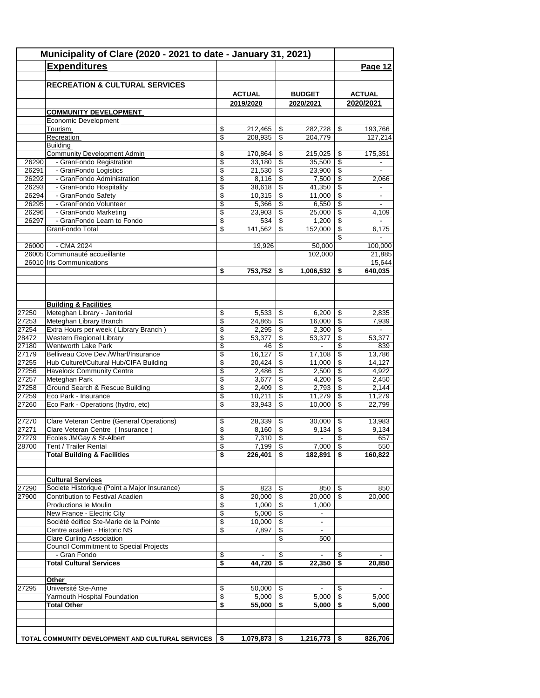| Municipality of Clare (2020 - 2021 to date - January 31, 2021) |                                                                     |                         |                  |                                |                          |                          |                          |
|----------------------------------------------------------------|---------------------------------------------------------------------|-------------------------|------------------|--------------------------------|--------------------------|--------------------------|--------------------------|
|                                                                | <b>Expenditures</b>                                                 |                         |                  |                                |                          |                          | Page 12                  |
|                                                                |                                                                     |                         |                  |                                |                          |                          |                          |
|                                                                | <b>RECREATION &amp; CULTURAL SERVICES</b>                           |                         |                  |                                |                          |                          |                          |
|                                                                |                                                                     |                         | <b>ACTUAL</b>    |                                | <b>BUDGET</b>            |                          | <b>ACTUAL</b>            |
|                                                                |                                                                     |                         | 2019/2020        |                                | 2020/2021                |                          | 2020/2021                |
|                                                                | <b>COMMUNITY DEVELOPMENT</b>                                        |                         |                  |                                |                          |                          |                          |
|                                                                | Economic Development<br>Tourism                                     |                         | 212,465          |                                | 282,728                  |                          | 193,766                  |
|                                                                | Recreation                                                          | \$<br>\$                | 208,935          | \$<br>\$                       | 204,779                  | \$                       | 127,214                  |
|                                                                | Building                                                            |                         |                  |                                |                          |                          |                          |
|                                                                | <b>Community Development Admin</b>                                  | \$                      | 170,864          | \$                             | 215,025                  | \$                       | 175,351                  |
| 26290                                                          | - GranFondo Registration                                            | \$                      | 33,180           | \$                             | 35,500                   | \$                       | $\overline{\phantom{a}}$ |
| 26291                                                          | - GranFondo Logistics                                               | \$                      | 21,530           | \$                             | 23,900                   | \$                       | $\overline{\phantom{a}}$ |
| 26292                                                          | - GranFondo Administration                                          | \$                      | 8,116            | \$                             | 7,500                    | \$                       | 2,066                    |
| 26293<br>26294                                                 | - GranFondo Hospitality                                             | \$<br>\$                | 38,618<br>10,315 | \$<br>$\overline{\$}$          | 41,350<br>11,000         | \$<br>\$                 | ۰                        |
| 26295                                                          | - GranFondo Safety<br>- GranFondo Volunteer                         | \$                      | 5,366            | \$                             | 6,550                    | \$                       | $\blacksquare$           |
| 26296                                                          | - GranFondo Marketing                                               | \$                      | 23,903           | \$                             | 25,000                   | \$                       | 4,109                    |
| 26297                                                          | - GranFondo Learn to Fondo                                          | $\overline{\mathbb{S}}$ | 534              | $\overline{\mathcal{S}}$       | 1,200                    | $\overline{\$}$          |                          |
|                                                                | GranFondo Total                                                     | \$                      | 141,562          | \$                             | 152,000                  | \$                       | 6,175                    |
|                                                                |                                                                     |                         |                  |                                |                          | \$                       |                          |
| 26000                                                          | - CMA 2024                                                          |                         | 19,926           |                                | 50,000                   |                          | 100,000                  |
|                                                                | 26005 Communauté accueillante                                       |                         |                  |                                | 102,000                  |                          | 21,885                   |
|                                                                | 26010 Iris Communications                                           | \$                      | 753,752          | \$                             | 1,006,532                | \$                       | 15,644<br>640,035        |
|                                                                |                                                                     |                         |                  |                                |                          |                          |                          |
|                                                                |                                                                     |                         |                  |                                |                          |                          |                          |
|                                                                |                                                                     |                         |                  |                                |                          |                          |                          |
|                                                                | <b>Building &amp; Facilities</b>                                    |                         |                  |                                |                          |                          |                          |
| 27250                                                          | Meteghan Library - Janitorial                                       | \$                      | 5,533            | \$                             | 6,200                    | \$                       | 2,835                    |
| 27253                                                          | Meteghan Library Branch                                             | \$                      | 24,865           | \$                             | 16,000                   | \$                       | 7,939                    |
| 27254<br>28472                                                 | Extra Hours per week (Library Branch)<br>Western Regional Library   | \$<br>\$                | 2,295<br>53,377  | \$<br>$\overline{\$}$          | 2,300<br>53,377          | \$<br>$\overline{\$}$    | 53,377                   |
| 27180                                                          | <b>Wentworth Lake Park</b>                                          | \$                      | 46               | \$                             | $\overline{\phantom{a}}$ | \$                       | 839                      |
| 27179                                                          | Belliveau Cove Dev./Wharf/Insurance                                 | \$                      | 16,127           | \$                             | 17,108                   | \$                       | 13,786                   |
| 27255                                                          | Hub Culturel/Cultural Hub/CIFA Building                             | \$                      | 20,424           | $\overline{\mathcal{S}}$       | 11,000                   | $\overline{\mathcal{L}}$ | 14,127                   |
| 27256                                                          | Havelock Community Centre                                           | \$                      | 2,486            | \$                             | 2,500                    | \$                       | 4,922                    |
| 27257                                                          | Meteghan Park                                                       | \$                      | 3,677            | \$                             | 4,200                    | \$                       | 2,450                    |
| 27258                                                          | Ground Search & Rescue Building                                     | \$                      | 2,409            | $\mathsf{\$}$                  | 2,793                    | \$                       | 2,144                    |
| 27259                                                          | Eco Park - Insurance                                                | \$<br>\$                | 10,211<br>33,943 | $\overline{\mathcal{E}}$<br>\$ | 11,279                   | \$<br>\$                 | 11,279                   |
| 27260                                                          | Eco Park - Operations (hydro, etc)                                  |                         |                  |                                | 10,000                   |                          | 22,799                   |
| 27270                                                          | Clare Veteran Centre (General Operations)                           | \$                      | 28,339           | \$                             | 30,000                   | \$                       | 13,983                   |
| 27271                                                          | Clare Veteran Centre ( Insurance )                                  | \$                      | 8,160            | $\boldsymbol{\theta}$          | 9,134                    | \$                       | 9,134                    |
| 27279                                                          | Écoles JMGay & St-Albert                                            | \$                      | 7,310            | \$                             | $\blacksquare$           | \$                       | 657                      |
| 28700                                                          | Tent / Trailer Rental                                               | \$                      | 7,199            | \$                             | 7,000                    | \$                       | 550                      |
|                                                                | <b>Total Building &amp; Facilities</b>                              | \$                      | 226,401          |                                | 182,891                  | \$                       | 160,822                  |
|                                                                |                                                                     |                         |                  |                                |                          |                          |                          |
|                                                                | <b>Cultural Services</b>                                            |                         |                  |                                |                          |                          |                          |
| 27290                                                          | Societe Historique (Point a Major Insurance)                        | \$                      | 823              | \$                             | 850                      |                          | 850                      |
| 27900                                                          | Contribution to Festival Acadien                                    | \$                      | 20,000           | \$                             | 20,000                   | \$                       | 20,000                   |
|                                                                | Productions le Moulin                                               | \$                      | 1,000            | \$                             | 1,000                    |                          |                          |
|                                                                | New France - Electric City                                          | \$                      | 5,000            | \$                             | $\blacksquare$           |                          |                          |
|                                                                | Société édifice Ste-Marie de la Pointe                              | \$                      | 10,000           | \$                             | $\blacksquare$           |                          |                          |
|                                                                | Centre acadien - Historic NS                                        | \$                      | 7,897            | \$                             |                          |                          |                          |
|                                                                | Clare Curling Association<br>Council Commitment to Special Projects |                         |                  | \$                             | 500                      |                          |                          |
|                                                                | - Gran Fondo                                                        | \$                      |                  | \$                             |                          | S.                       |                          |
|                                                                | <b>Total Cultural Services</b>                                      | \$                      | 44,720           | $\overline{\bullet}$           | 22,350                   | \$                       | 20,850                   |
|                                                                |                                                                     |                         |                  |                                |                          |                          |                          |
|                                                                | <u>Other</u>                                                        |                         |                  |                                |                          |                          |                          |
| 27295                                                          | Université Ste-Anne                                                 | \$                      | 50,000           | \$                             |                          | \$                       |                          |
|                                                                | Yarmouth Hospital Foundation                                        | \$                      | 5,000            | \$                             | 5,000                    | \$                       | 5,000                    |
|                                                                | <b>Total Other</b>                                                  | \$                      | 55,000           | \$                             | 5,000                    | \$                       | 5,000                    |
|                                                                |                                                                     |                         |                  |                                |                          |                          |                          |
|                                                                |                                                                     |                         |                  |                                |                          |                          |                          |
|                                                                | TOTAL COMMUNITY DEVELOPMENT AND CULTURAL SERVICES                   | \$                      | 1,079,873        | \$                             | 1,216,773                | \$                       | 826,706                  |